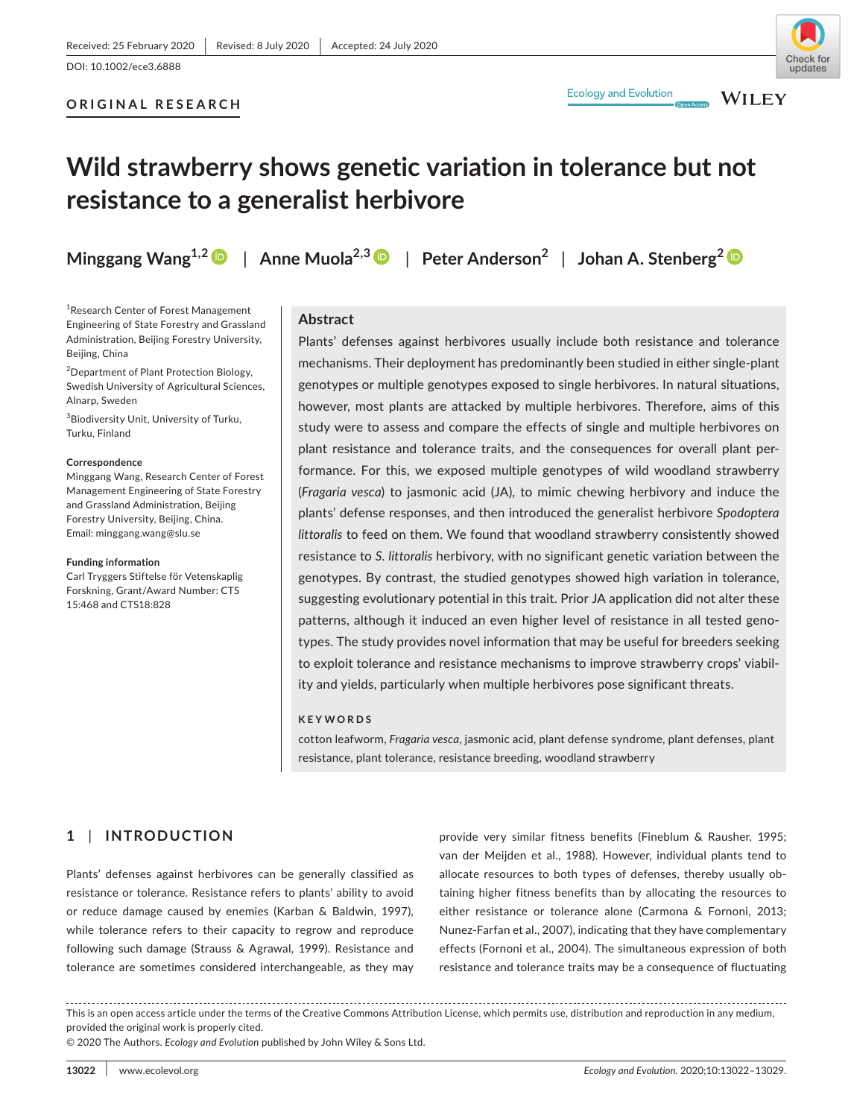**ORIGINAL RESEARCH**

# **Ecology and Evolution**



**WILEY** 

# **Wild strawberry shows genetic variation in tolerance but not resistance to a generalist herbivore**

**Minggang Wang1,2** | **Anne Muola2,[3](https://orcid.org/0000-0003-1828-6425)** | **Peter Anderson<sup>2</sup>** | **Johan A. Stenberg<sup>2</sup>**

<sup>1</sup> Research Center of Forest Management Engineering of State Forestry and Grassland Administration, Beijing Forestry University, Beijing, China

<sup>2</sup> Department of Plant Protection Biology, Swedish University of Agricultural Sciences, Alnarp, Sweden

<sup>3</sup>Biodiversity Unit, University of Turku, Turku, Finland

#### **Correspondence**

Minggang Wang, Research Center of Forest Management Engineering of State Forestry and Grassland Administration, Beijing Forestry University, Beijing, China. Email: [minggang.wang@slu.se](mailto:minggang.wang@slu.se)

#### **Funding information**

Carl Tryggers Stiftelse för Vetenskaplig Forskning, Grant/Award Number: CTS 15:468 and CTS18:828

## **Abstract**

Plants' defenses against herbivores usually include both resistance and tolerance mechanisms. Their deployment has predominantly been studied in either single-plant genotypes or multiple genotypes exposed to single herbivores. In natural situations, however, most plants are attacked by multiple herbivores. Therefore, aims of this study were to assess and compare the effects of single and multiple herbivores on plant resistance and tolerance traits, and the consequences for overall plant performance. For this, we exposed multiple genotypes of wild woodland strawberry (*Fragaria vesca*) to jasmonic acid (JA), to mimic chewing herbivory and induce the plants' defense responses, and then introduced the generalist herbivore *Spodoptera littoralis* to feed on them. We found that woodland strawberry consistently showed resistance to *S. littoralis* herbivory, with no significant genetic variation between the genotypes. By contrast, the studied genotypes showed high variation in tolerance, suggesting evolutionary potential in this trait. Prior JA application did not alter these patterns, although it induced an even higher level of resistance in all tested genotypes. The study provides novel information that may be useful for breeders seeking to exploit tolerance and resistance mechanisms to improve strawberry crops' viability and yields, particularly when multiple herbivores pose significant threats.

#### **KEYWORDS**

cotton leafworm, *Fragaria vesca*, jasmonic acid, plant defense syndrome, plant defenses, plant resistance, plant tolerance, resistance breeding, woodland strawberry

# **1** | **INTRODUCTION**

Plants' defenses against herbivores can be generally classified as resistance or tolerance. Resistance refers to plants' ability to avoid or reduce damage caused by enemies (Karban & Baldwin, 1997), while tolerance refers to their capacity to regrow and reproduce following such damage (Strauss & Agrawal, 1999). Resistance and tolerance are sometimes considered interchangeable, as they may

provide very similar fitness benefits (Fineblum & Rausher, 1995; van der Meijden et al., 1988). However, individual plants tend to allocate resources to both types of defenses, thereby usually obtaining higher fitness benefits than by allocating the resources to either resistance or tolerance alone (Carmona & Fornoni, 2013; Nunez-Farfan et al., 2007), indicating that they have complementary effects (Fornoni et al., 2004). The simultaneous expression of both resistance and tolerance traits may be a consequence of fluctuating

This is an open access article under the terms of the [Creative Commons Attribution](http://creativecommons.org/licenses/by/4.0/) License, which permits use, distribution and reproduction in any medium, provided the original work is properly cited.

© 2020 The Authors. *Ecology and Evolution* published by John Wiley & Sons Ltd.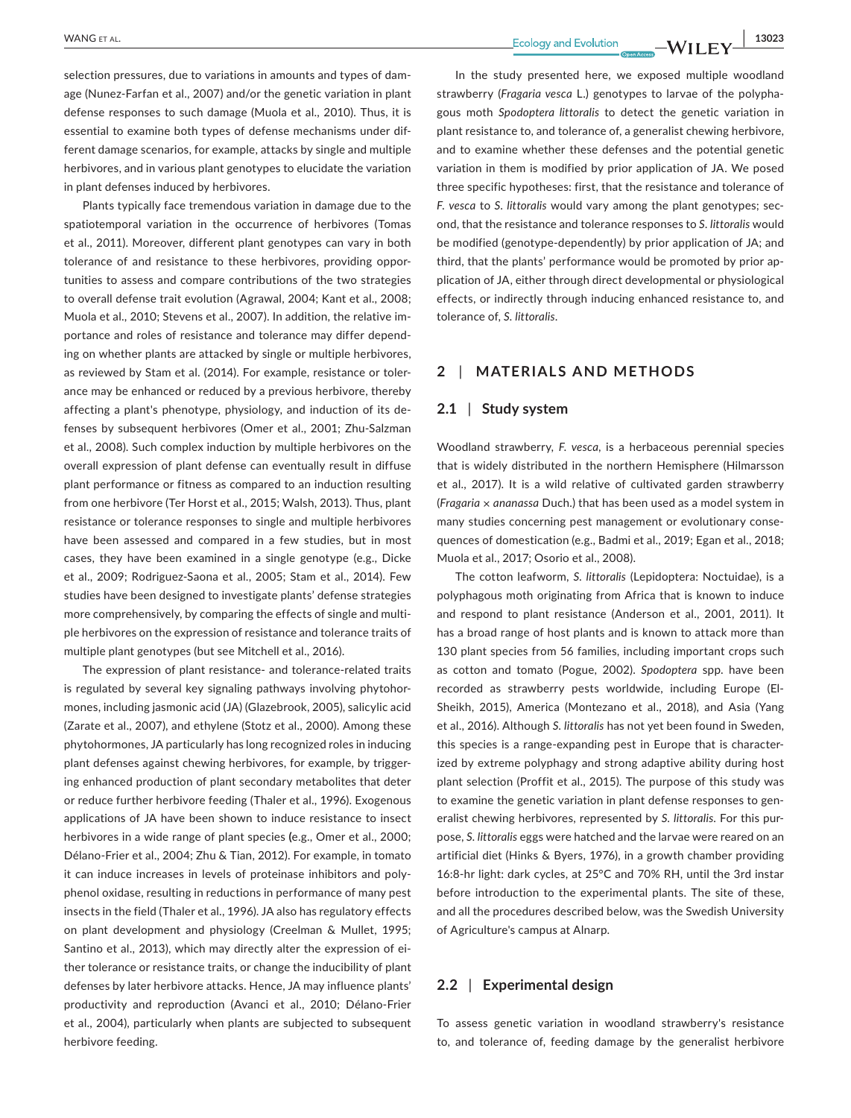selection pressures, due to variations in amounts and types of damage (Nunez-Farfan et al., 2007) and/or the genetic variation in plant defense responses to such damage (Muola et al., 2010). Thus, it is essential to examine both types of defense mechanisms under different damage scenarios, for example, attacks by single and multiple herbivores, and in various plant genotypes to elucidate the variation in plant defenses induced by herbivores.

Plants typically face tremendous variation in damage due to the spatiotemporal variation in the occurrence of herbivores (Tomas et al., 2011). Moreover, different plant genotypes can vary in both tolerance of and resistance to these herbivores, providing opportunities to assess and compare contributions of the two strategies to overall defense trait evolution (Agrawal, 2004; Kant et al., 2008; Muola et al., 2010; Stevens et al., 2007). In addition, the relative importance and roles of resistance and tolerance may differ depending on whether plants are attacked by single or multiple herbivores, as reviewed by Stam et al. (2014). For example, resistance or tolerance may be enhanced or reduced by a previous herbivore, thereby affecting a plant's phenotype, physiology, and induction of its defenses by subsequent herbivores (Omer et al., 2001; Zhu-Salzman et al., 2008). Such complex induction by multiple herbivores on the overall expression of plant defense can eventually result in diffuse plant performance or fitness as compared to an induction resulting from one herbivore (Ter Horst et al., 2015; Walsh, 2013). Thus, plant resistance or tolerance responses to single and multiple herbivores have been assessed and compared in a few studies, but in most cases, they have been examined in a single genotype (e.g., Dicke et al., 2009; Rodriguez-Saona et al., 2005; Stam et al., 2014). Few studies have been designed to investigate plants' defense strategies more comprehensively, by comparing the effects of single and multiple herbivores on the expression of resistance and tolerance traits of multiple plant genotypes (but see Mitchell et al., 2016).

The expression of plant resistance- and tolerance-related traits is regulated by several key signaling pathways involving phytohormones, including jasmonic acid (JA) (Glazebrook, 2005), salicylic acid (Zarate et al., 2007), and ethylene (Stotz et al., 2000). Among these phytohormones, JA particularly has long recognized roles in inducing plant defenses against chewing herbivores, for example, by triggering enhanced production of plant secondary metabolites that deter or reduce further herbivore feeding (Thaler et al., 1996). Exogenous applications of JA have been shown to induce resistance to insect herbivores in a wide range of plant species **(**e.g., Omer et al., 2000; Délano-Frier et al., 2004; Zhu & Tian, 2012). For example, in tomato it can induce increases in levels of proteinase inhibitors and polyphenol oxidase, resulting in reductions in performance of many pest insects in the field (Thaler et al., 1996). JA also has regulatory effects on plant development and physiology (Creelman & Mullet, 1995; Santino et al., 2013), which may directly alter the expression of either tolerance or resistance traits, or change the inducibility of plant defenses by later herbivore attacks. Hence, JA may influence plants' productivity and reproduction (Avanci et al., 2010; Délano-Frier et al., 2004), particularly when plants are subjected to subsequent herbivore feeding.

In the study presented here, we exposed multiple woodland strawberry (*Fragaria vesca* L.) genotypes to larvae of the polyphagous moth *Spodoptera littoralis* to detect the genetic variation in plant resistance to, and tolerance of, a generalist chewing herbivore, and to examine whether these defenses and the potential genetic variation in them is modified by prior application of JA. We posed three specific hypotheses: first, that the resistance and tolerance of *F. vesca* to *S. littoralis* would vary among the plant genotypes; second, that the resistance and tolerance responses to *S. littoralis* would be modified (genotype-dependently) by prior application of JA; and third, that the plants' performance would be promoted by prior application of JA, either through direct developmental or physiological effects, or indirectly through inducing enhanced resistance to, and tolerance of, *S. littoralis*.

# **2** | **MATERIALS AND METHODS**

# **2.1** | **Study system**

Woodland strawberry, *F. vesca*, is a herbaceous perennial species that is widely distributed in the northern Hemisphere (Hilmarsson et al., 2017). It is a wild relative of cultivated garden strawberry (*Fragaria × ananassa* Duch.) that has been used as a model system in many studies concerning pest management or evolutionary consequences of domestication (e.g., Badmi et al., 2019; Egan et al., 2018; Muola et al., 2017; Osorio et al., 2008).

The cotton leafworm, *S. littoralis* (Lepidoptera: Noctuidae), is a polyphagous moth originating from Africa that is known to induce and respond to plant resistance (Anderson et al., 2001, 2011). It has a broad range of host plants and is known to attack more than 130 plant species from 56 families, including important crops such as cotton and tomato (Pogue, 2002). *Spodoptera* spp. have been recorded as strawberry pests worldwide, including Europe (El-Sheikh, 2015), America (Montezano et al., 2018), and Asia (Yang et al., 2016). Although *S. littoralis* has not yet been found in Sweden, this species is a range-expanding pest in Europe that is characterized by extreme polyphagy and strong adaptive ability during host plant selection (Proffit et al., 2015). The purpose of this study was to examine the genetic variation in plant defense responses to generalist chewing herbivores, represented by *S. littoralis*. For this purpose, *S. littoralis* eggs were hatched and the larvae were reared on an artificial diet (Hinks & Byers, 1976), in a growth chamber providing 16:8-hr light: dark cycles, at 25°C and 70% RH, until the 3rd instar before introduction to the experimental plants. The site of these, and all the procedures described below, was the Swedish University of Agriculture's campus at Alnarp.

# **2.2** | **Experimental design**

To assess genetic variation in woodland strawberry's resistance to, and tolerance of, feeding damage by the generalist herbivore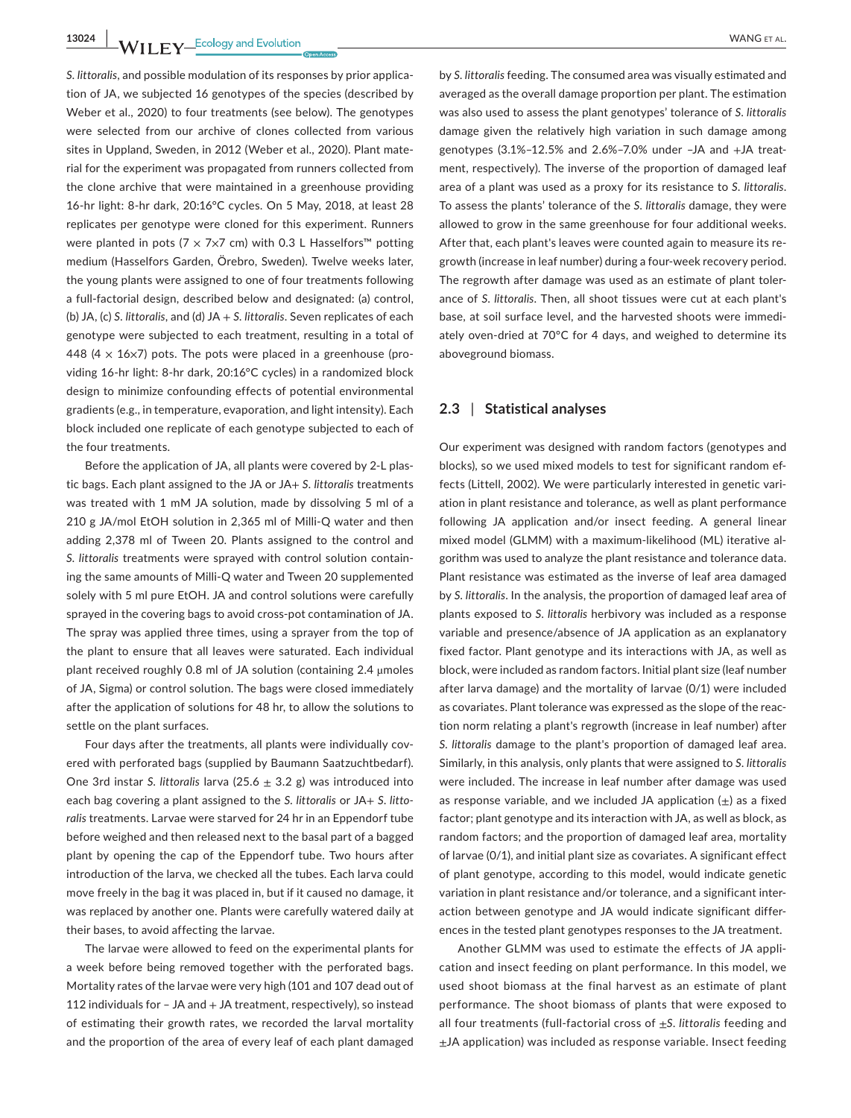**13024 WII FY** Ecology and Evolution **and Example 2018** WANG ET AL.

*S. littoralis*, and possible modulation of its responses by prior application of JA, we subjected 16 genotypes of the species (described by Weber et al., 2020) to four treatments (see below). The genotypes were selected from our archive of clones collected from various sites in Uppland, Sweden, in 2012 (Weber et al., 2020). Plant material for the experiment was propagated from runners collected from the clone archive that were maintained in a greenhouse providing 16-hr light: 8-hr dark, 20:16°C cycles. On 5 May, 2018, at least 28 replicates per genotype were cloned for this experiment. Runners were planted in pots (7  $\times$  7 $\times$ 7 cm) with 0.3 L Hasselfors<sup>™</sup> potting medium (Hasselfors Garden, Örebro, Sweden). Twelve weeks later, the young plants were assigned to one of four treatments following a full-factorial design, described below and designated: (a) control, (b) JA, (c) *S. littoralis*, and (d) JA + *S. littoralis*. Seven replicates of each genotype were subjected to each treatment, resulting in a total of 448 (4  $\times$  16 $\times$ 7) pots. The pots were placed in a greenhouse (providing 16-hr light: 8-hr dark, 20:16°C cycles) in a randomized block design to minimize confounding effects of potential environmental gradients (e.g., in temperature, evaporation, and light intensity). Each block included one replicate of each genotype subjected to each of the four treatments.

Before the application of JA, all plants were covered by 2-L plastic bags. Each plant assigned to the JA or JA+ *S. littoralis* treatments was treated with 1 mM JA solution, made by dissolving 5 ml of a 210 g JA/mol EtOH solution in 2,365 ml of Milli-Q water and then adding 2,378 ml of Tween 20. Plants assigned to the control and *S. littoralis* treatments were sprayed with control solution containing the same amounts of Milli-Q water and Tween 20 supplemented solely with 5 ml pure EtOH. JA and control solutions were carefully sprayed in the covering bags to avoid cross-pot contamination of JA. The spray was applied three times, using a sprayer from the top of the plant to ensure that all leaves were saturated. Each individual plant received roughly 0.8 ml of JA solution (containing 2.4 µmoles of JA, Sigma) or control solution. The bags were closed immediately after the application of solutions for 48 hr, to allow the solutions to settle on the plant surfaces.

Four days after the treatments, all plants were individually covered with perforated bags (supplied by Baumann Saatzuchtbedarf). One 3rd instar *S. littoralis* larva (25.6 ± 3.2 g) was introduced into each bag covering a plant assigned to the *S. littoralis* or JA+ *S. littoralis* treatments. Larvae were starved for 24 hr in an Eppendorf tube before weighed and then released next to the basal part of a bagged plant by opening the cap of the Eppendorf tube. Two hours after introduction of the larva, we checked all the tubes. Each larva could move freely in the bag it was placed in, but if it caused no damage, it was replaced by another one. Plants were carefully watered daily at their bases, to avoid affecting the larvae.

The larvae were allowed to feed on the experimental plants for a week before being removed together with the perforated bags. Mortality rates of the larvae were very high (101 and 107 dead out of 112 individuals for  $-$  JA and  $+$  JA treatment, respectively), so instead of estimating their growth rates, we recorded the larval mortality and the proportion of the area of every leaf of each plant damaged

by *S. littoralis* feeding. The consumed area was visually estimated and averaged as the overall damage proportion per plant. The estimation was also used to assess the plant genotypes' tolerance of *S. littoralis* damage given the relatively high variation in such damage among genotypes (3.1%–12.5% and 2.6%–7.0% under –JA and +JA treatment, respectively). The inverse of the proportion of damaged leaf area of a plant was used as a proxy for its resistance to *S. littoralis*. To assess the plants' tolerance of the *S. littoralis* damage, they were allowed to grow in the same greenhouse for four additional weeks. After that, each plant's leaves were counted again to measure its regrowth (increase in leaf number) during a four-week recovery period. The regrowth after damage was used as an estimate of plant tolerance of *S. littoralis*. Then, all shoot tissues were cut at each plant's base, at soil surface level, and the harvested shoots were immediately oven-dried at 70°C for 4 days, and weighed to determine its aboveground biomass.

# **2.3** | **Statistical analyses**

Our experiment was designed with random factors (genotypes and blocks), so we used mixed models to test for significant random effects (Littell, 2002). We were particularly interested in genetic variation in plant resistance and tolerance, as well as plant performance following JA application and/or insect feeding. A general linear mixed model (GLMM) with a maximum-likelihood (ML) iterative algorithm was used to analyze the plant resistance and tolerance data. Plant resistance was estimated as the inverse of leaf area damaged by *S. littoralis*. In the analysis, the proportion of damaged leaf area of plants exposed to *S. littoralis* herbivory was included as a response variable and presence/absence of JA application as an explanatory fixed factor. Plant genotype and its interactions with JA, as well as block, were included as random factors. Initial plant size (leaf number after larva damage) and the mortality of larvae (0/1) were included as covariates. Plant tolerance was expressed as the slope of the reaction norm relating a plant's regrowth (increase in leaf number) after *S. littoralis* damage to the plant's proportion of damaged leaf area. Similarly, in this analysis, only plants that were assigned to *S. littoralis* were included. The increase in leaf number after damage was used as response variable, and we included JA application  $(\pm)$  as a fixed factor; plant genotype and its interaction with JA, as well as block, as random factors; and the proportion of damaged leaf area, mortality of larvae (0/1), and initial plant size as covariates. A significant effect of plant genotype, according to this model, would indicate genetic variation in plant resistance and/or tolerance, and a significant interaction between genotype and JA would indicate significant differences in the tested plant genotypes responses to the JA treatment.

Another GLMM was used to estimate the effects of JA application and insect feeding on plant performance. In this model, we used shoot biomass at the final harvest as an estimate of plant performance. The shoot biomass of plants that were exposed to all four treatments (full-factorial cross of ±*S. littoralis* feeding and  $\pm$ JA application) was included as response variable. Insect feeding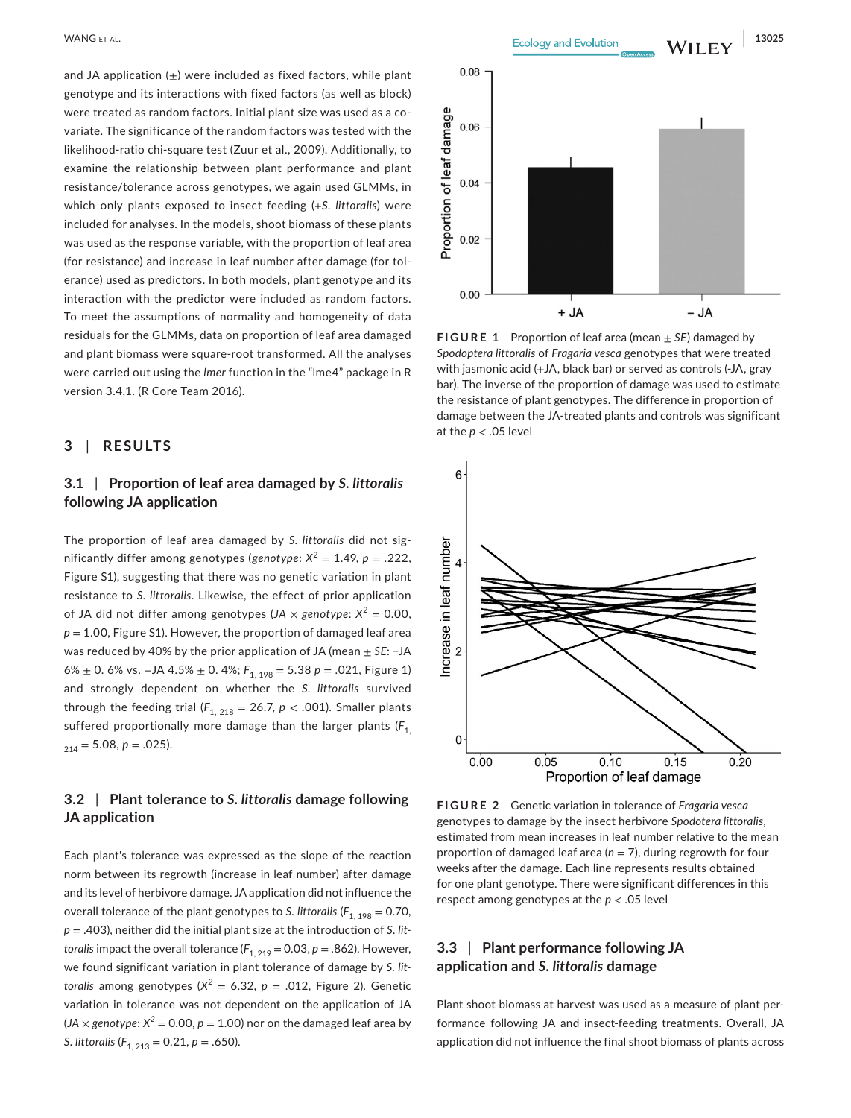and JA application  $(+)$  were included as fixed factors, while plant genotype and its interactions with fixed factors (as well as block) were treated as random factors. Initial plant size was used as a covariate. The significance of the random factors was tested with the likelihood-ratio chi-square test (Zuur et al., 2009). Additionally, to examine the relationship between plant performance and plant resistance/tolerance across genotypes, we again used GLMMs, in which only plants exposed to insect feeding (*+S. littoralis*) were included for analyses. In the models, shoot biomass of these plants was used as the response variable, with the proportion of leaf area (for resistance) and increase in leaf number after damage (for tolerance) used as predictors. In both models, plant genotype and its interaction with the predictor were included as random factors. To meet the assumptions of normality and homogeneity of data residuals for the GLMMs, data on proportion of leaf area damaged and plant biomass were square-root transformed. All the analyses were carried out using the *lmer* function in the "lme4" package in R version 3.4.1. (R Core Team 2016).

# **3** | **RESULTS**

# **3.1** | **Proportion of leaf area damaged by** *S. littoralis* **following JA application**

The proportion of leaf area damaged by *S. littoralis* did not significantly differ among genotypes (genotype:  $X^2 = 1.49$ ,  $p = .222$ , Figure S1), suggesting that there was no genetic variation in plant resistance to *S. littoralis*. Likewise, the effect of prior application of JA did not differ among genotypes (*JA*  $\times$  *genotype*:  $X^2 = 0.00$ ,  $p = 1.00$ , Figure S1). However, the proportion of damaged leaf area was reduced by 40% by the prior application of JA (mean ± *SE*: −JA 6%  $\pm$  0. 6% vs. +JA 4.5%  $\pm$  0. 4%;  $F_{1, 198} = 5.38$   $p = .021$ , Figure 1) and strongly dependent on whether the *S. littoralis* survived through the feeding trial  $(F_{1, 218} = 26.7, p < .001)$ . Smaller plants suffered proportionally more damage than the larger plants ( $F_1$ ,  $_{214} = 5.08, p = .025$ ).

# **3.2** | **Plant tolerance to** *S. littoralis* **damage following JA application**

Each plant's tolerance was expressed as the slope of the reaction norm between its regrowth (increase in leaf number) after damage and its level of herbivore damage. JA application did not influence the overall tolerance of the plant genotypes to *S. littoralis* ( $F_{1, 198} = 0.70$ , *p* = .403), neither did the initial plant size at the introduction of *S. littoralis* impact the overall tolerance  $(F_{1, 219} = 0.03, p = .862)$ . However, we found significant variation in plant tolerance of damage by *S. littoralis* among genotypes  $(X^2 = 6.32, p = .012,$  Figure 2). Genetic variation in tolerance was not dependent on the application of JA  $(JA \times genotype: X^2 = 0.00, p = 1.00)$  nor on the damaged leaf area by *S. littoralis* (*F*1, 213 = 0.21, *p* = .650).



**FIGURE 1** Proportion of leaf area (mean ± *SE*) damaged by *Spodoptera littoralis* of *Fragaria vesca* genotypes that were treated with jasmonic acid (+JA, black bar) or served as controls (-JA, gray bar). The inverse of the proportion of damage was used to estimate the resistance of plant genotypes. The difference in proportion of damage between the JA-treated plants and controls was significant at the  $p < .05$  level



**FIGURE 2** Genetic variation in tolerance of *Fragaria vesca* genotypes to damage by the insect herbivore *Spodotera littoralis*, estimated from mean increases in leaf number relative to the mean proportion of damaged leaf area (*n* = 7), during regrowth for four weeks after the damage. Each line represents results obtained for one plant genotype. There were significant differences in this respect among genotypes at the *p* < .05 level

# **3.3** | **Plant performance following JA application and** *S. littoralis* **damage**

Plant shoot biomass at harvest was used as a measure of plant performance following JA and insect-feeding treatments. Overall, JA application did not influence the final shoot biomass of plants across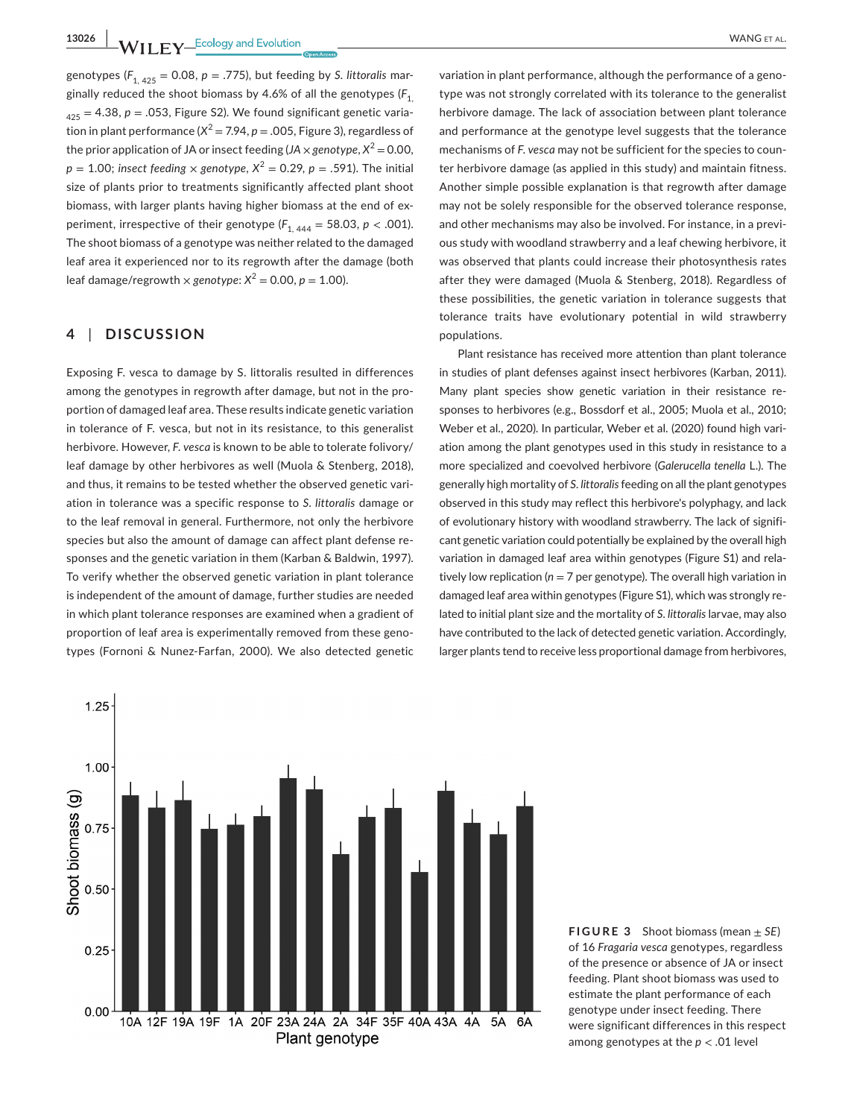**13026 |**  WANG et al.

genotypes ( $F_{1, 425} = 0.08$ ,  $p = .775$ ), but feeding by *S. littoralis* marginally reduced the shoot biomass by 4.6% of all the genotypes (*F*1,  $425 = 4.38$ ,  $p = .053$ , Figure S2). We found significant genetic variation in plant performance  $(X^2 = 7.94, p = .005,$  Figure 3), regardless of the prior application of JA or insect feeding ( $JA \times genotype$ ,  $X^2 = 0.00$ ,  $p = 1.00$ ; *insect feeding*  $\times$  *genotype*,  $X^2 = 0.29$ ,  $p = .591$ ). The initial size of plants prior to treatments significantly affected plant shoot biomass, with larger plants having higher biomass at the end of experiment, irrespective of their genotype  $(F_{1, 444} = 58.03, p < .001)$ . The shoot biomass of a genotype was neither related to the damaged leaf area it experienced nor to its regrowth after the damage (both leaf damage/regrowth  $\times$  *genotype*:  $X^2 = 0.00$ ,  $p = 1.00$ ).

# **4** | **DISCUSSION**

Exposing F. vesca to damage by S. littoralis resulted in differences among the genotypes in regrowth after damage, but not in the proportion of damaged leaf area. These results indicate genetic variation in tolerance of F. vesca, but not in its resistance, to this generalist herbivore. However, *F. vesca* is known to be able to tolerate folivory/ leaf damage by other herbivores as well (Muola & Stenberg, 2018), and thus, it remains to be tested whether the observed genetic variation in tolerance was a specific response to *S. littoralis* damage or to the leaf removal in general. Furthermore, not only the herbivore species but also the amount of damage can affect plant defense responses and the genetic variation in them (Karban & Baldwin, 1997). To verify whether the observed genetic variation in plant tolerance is independent of the amount of damage, further studies are needed in which plant tolerance responses are examined when a gradient of proportion of leaf area is experimentally removed from these genotypes (Fornoni & Nunez-Farfan, 2000). We also detected genetic

variation in plant performance, although the performance of a genotype was not strongly correlated with its tolerance to the generalist herbivore damage. The lack of association between plant tolerance and performance at the genotype level suggests that the tolerance mechanisms of *F. vesca* may not be sufficient for the species to counter herbivore damage (as applied in this study) and maintain fitness. Another simple possible explanation is that regrowth after damage may not be solely responsible for the observed tolerance response, and other mechanisms may also be involved. For instance, in a previous study with woodland strawberry and a leaf chewing herbivore, it was observed that plants could increase their photosynthesis rates after they were damaged (Muola & Stenberg, 2018). Regardless of these possibilities, the genetic variation in tolerance suggests that tolerance traits have evolutionary potential in wild strawberry populations.

Plant resistance has received more attention than plant tolerance in studies of plant defenses against insect herbivores (Karban, 2011). Many plant species show genetic variation in their resistance responses to herbivores (e.g., Bossdorf et al., 2005; Muola et al., 2010; Weber et al., 2020). In particular, Weber et al. (2020) found high variation among the plant genotypes used in this study in resistance to a more specialized and coevolved herbivore (*Galerucella tenella* L.). The generally high mortality of *S. littoralis* feeding on all the plant genotypes observed in this study may reflect this herbivore's polyphagy, and lack of evolutionary history with woodland strawberry. The lack of significant genetic variation could potentially be explained by the overall high variation in damaged leaf area within genotypes (Figure S1) and relatively low replication ( $n = 7$  per genotype). The overall high variation in damaged leaf area within genotypes (Figure S1), which was strongly related to initial plant size and the mortality of *S. littoralis* larvae, may also have contributed to the lack of detected genetic variation. Accordingly, larger plants tend to receive less proportional damage from herbivores,



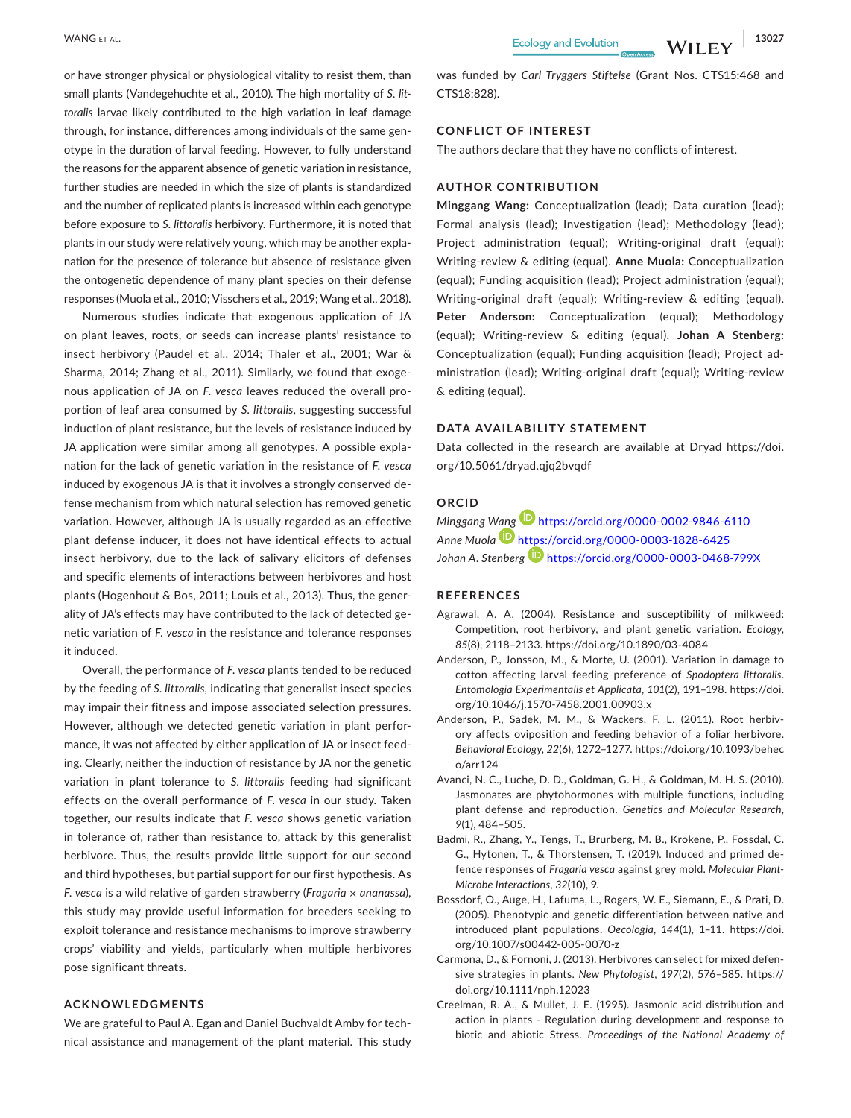or have stronger physical or physiological vitality to resist them, than small plants (Vandegehuchte et al., 2010). The high mortality of *S. littoralis* larvae likely contributed to the high variation in leaf damage through, for instance, differences among individuals of the same genotype in the duration of larval feeding. However, to fully understand the reasons for the apparent absence of genetic variation in resistance, further studies are needed in which the size of plants is standardized and the number of replicated plants is increased within each genotype before exposure to *S. littoralis* herbivory. Furthermore, it is noted that plants in our study were relatively young, which may be another explanation for the presence of tolerance but absence of resistance given the ontogenetic dependence of many plant species on their defense responses (Muola et al., 2010; Visschers et al., 2019; Wang et al., 2018).

Numerous studies indicate that exogenous application of JA on plant leaves, roots, or seeds can increase plants' resistance to insect herbivory (Paudel et al., 2014; Thaler et al., 2001; War & Sharma, 2014; Zhang et al., 2011). Similarly, we found that exogenous application of JA on *F. vesca* leaves reduced the overall proportion of leaf area consumed by *S. littoralis*, suggesting successful induction of plant resistance, but the levels of resistance induced by JA application were similar among all genotypes. A possible explanation for the lack of genetic variation in the resistance of *F. vesca* induced by exogenous JA is that it involves a strongly conserved defense mechanism from which natural selection has removed genetic variation. However, although JA is usually regarded as an effective plant defense inducer, it does not have identical effects to actual insect herbivory, due to the lack of salivary elicitors of defenses and specific elements of interactions between herbivores and host plants (Hogenhout & Bos, 2011; Louis et al., 2013). Thus, the generality of JA's effects may have contributed to the lack of detected genetic variation of *F. vesca* in the resistance and tolerance responses it induced.

Overall, the performance of *F. vesca* plants tended to be reduced by the feeding of *S. littoralis,* indicating that generalist insect species may impair their fitness and impose associated selection pressures. However, although we detected genetic variation in plant performance, it was not affected by either application of JA or insect feeding. Clearly, neither the induction of resistance by JA nor the genetic variation in plant tolerance to *S. littoralis* feeding had significant effects on the overall performance of *F. vesca* in our study. Taken together, our results indicate that *F. vesca* shows genetic variation in tolerance of, rather than resistance to, attack by this generalist herbivore. Thus, the results provide little support for our second and third hypotheses, but partial support for our first hypothesis. As *F. vesca* is a wild relative of garden strawberry (*Fragaria × ananassa*), this study may provide useful information for breeders seeking to exploit tolerance and resistance mechanisms to improve strawberry crops' viability and yields, particularly when multiple herbivores pose significant threats.

#### **ACKNOWLEDGMENTS**

We are grateful to Paul A. Egan and Daniel Buchvaldt Amby for technical assistance and management of the plant material. This study was funded by *Carl Tryggers Stiftelse* (Grant Nos. CTS15:468 and CTS18:828).

## **CONFLICT OF INTEREST**

The authors declare that they have no conflicts of interest.

## **AUTHOR CONTRIBUTION**

**Minggang Wang:** Conceptualization (lead); Data curation (lead); Formal analysis (lead); Investigation (lead); Methodology (lead); Project administration (equal); Writing-original draft (equal); Writing-review & editing (equal). **Anne Muola:** Conceptualization (equal); Funding acquisition (lead); Project administration (equal); Writing-original draft (equal); Writing-review & editing (equal). **Peter Anderson:** Conceptualization (equal); Methodology (equal); Writing-review & editing (equal). **Johan A Stenberg:** Conceptualization (equal); Funding acquisition (lead); Project administration (lead); Writing-original draft (equal); Writing-review & editing (equal).

#### **DATA AVAILABILITY STATEMENT**

Data collected in the research are available at Dryad [https://doi.](https://doi.org/10.5061/dryad.qjq2bvqdf) [org/10.5061/dryad.qjq2bvqdf](https://doi.org/10.5061/dryad.qjq2bvqdf)

#### **ORCID**

*Minggang [Wang](https://orcid.org/0000-0003-1828-6425)* <https://orcid.org/0000-0002-9846-6110> *Anne Muola* <https://orcid.org/0000-0003-1828-6425> *Johan A. Stenberg* <https://orcid.org/0000-0003-0468-799X>

#### **REFERENCES**

- Agrawal, A. A. (2004). Resistance and susceptibility of milkweed: Competition, root herbivory, and plant genetic variation. *Ecology*, *85*(8), 2118–2133. <https://doi.org/10.1890/03-4084>
- Anderson, P., Jonsson, M., & Morte, U. (2001). Variation in damage to cotton affecting larval feeding preference of *Spodoptera littoralis*. *Entomologia Experimentalis et Applicata*, *101*(2), 191–198. [https://doi.](https://doi.org/10.1046/j.1570-7458.2001.00903.x) [org/10.1046/j.1570-7458.2001.00903.x](https://doi.org/10.1046/j.1570-7458.2001.00903.x)
- Anderson, P., Sadek, M. M., & Wackers, F. L. (2011). Root herbivory affects oviposition and feeding behavior of a foliar herbivore. *Behavioral Ecology*, *22*(6), 1272–1277. [https://doi.org/10.1093/behec](https://doi.org/10.1093/beheco/arr124)  $o/arr124$
- Avanci, N. C., Luche, D. D., Goldman, G. H., & Goldman, M. H. S. (2010). Jasmonates are phytohormones with multiple functions, including plant defense and reproduction. *Genetics and Molecular Research*, *9*(1), 484–505.
- Badmi, R., Zhang, Y., Tengs, T., Brurberg, M. B., Krokene, P., Fossdal, C. G., Hytonen, T., & Thorstensen, T. (2019). Induced and primed defence responses of *Fragaria vesca* against grey mold. *Molecular Plant-Microbe Interactions*, *32*(10), 9.
- Bossdorf, O., Auge, H., Lafuma, L., Rogers, W. E., Siemann, E., & Prati, D. (2005). Phenotypic and genetic differentiation between native and introduced plant populations. *Oecologia*, *144*(1), 1–11. [https://doi.](https://doi.org/10.1007/s00442-005-0070-z) [org/10.1007/s00442-005-0070-z](https://doi.org/10.1007/s00442-005-0070-z)
- Carmona, D., & Fornoni, J. (2013). Herbivores can select for mixed defensive strategies in plants. *New Phytologist*, *197*(2), 576–585. [https://](https://doi.org/10.1111/nph.12023) [doi.org/10.1111/nph.12023](https://doi.org/10.1111/nph.12023)
- Creelman, R. A., & Mullet, J. E. (1995). Jasmonic acid distribution and action in plants - Regulation during development and response to biotic and abiotic Stress. *Proceedings of the National Academy of*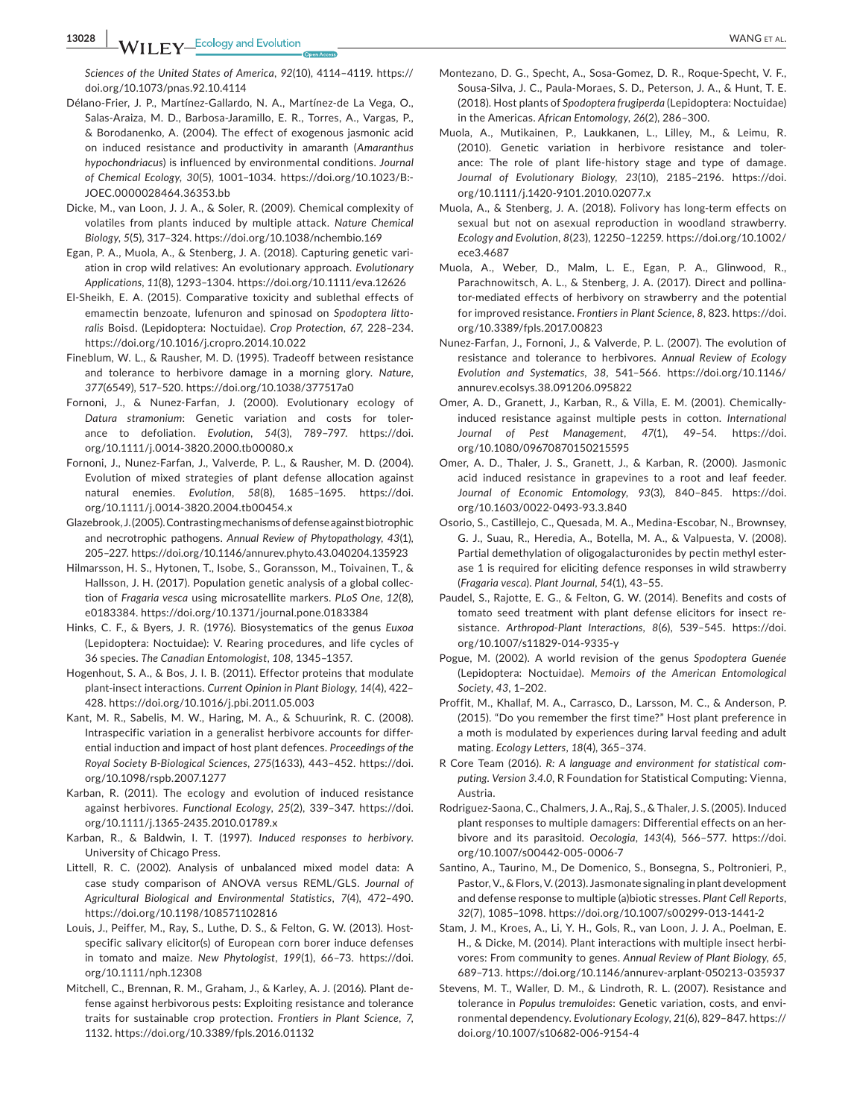**13028 |**  WANG et al.

*Sciences of the United States of America*, *92*(10), 4114–4119. [https://](https://doi.org/10.1073/pnas.92.10.4114) [doi.org/10.1073/pnas.92.10.4114](https://doi.org/10.1073/pnas.92.10.4114)

- Délano-Frier, J. P., Martínez-Gallardo, N. A., Martínez-de La Vega, O., Salas-Araiza, M. D., Barbosa-Jaramillo, E. R., Torres, A., Vargas, P., & Borodanenko, A. (2004). The effect of exogenous jasmonic acid on induced resistance and productivity in amaranth (*Amaranthus hypochondriacus*) is influenced by environmental conditions. *Journal of Chemical Ecology*, *30*(5), 1001–1034. [https://doi.org/10.1023/B:-](https://doi.org/10.1023/B:JOEC.0000028464.36353.bb) [JOEC.0000028464.36353.bb](https://doi.org/10.1023/B:JOEC.0000028464.36353.bb)
- Dicke, M., van Loon, J. J. A., & Soler, R. (2009). Chemical complexity of volatiles from plants induced by multiple attack. *Nature Chemical Biology*, *5*(5), 317–324.<https://doi.org/10.1038/nchembio.169>
- Egan, P. A., Muola, A., & Stenberg, J. A. (2018). Capturing genetic variation in crop wild relatives: An evolutionary approach. *Evolutionary Applications*, *11*(8), 1293–1304.<https://doi.org/10.1111/eva.12626>
- El-Sheikh, E. A. (2015). Comparative toxicity and sublethal effects of emamectin benzoate, lufenuron and spinosad on *Spodoptera littoralis* Boisd. (Lepidoptera: Noctuidae). *Crop Protection*, *67*, 228–234. <https://doi.org/10.1016/j.cropro.2014.10.022>
- Fineblum, W. L., & Rausher, M. D. (1995). Tradeoff between resistance and tolerance to herbivore damage in a morning glory. *Nature*, *377*(6549), 517–520.<https://doi.org/10.1038/377517a0>
- Fornoni, J., & Nunez-Farfan, J. (2000). Evolutionary ecology of *Datura stramonium*: Genetic variation and costs for tolerance to defoliation. *Evolution*, *54*(3), 789–797. [https://doi.](https://doi.org/10.1111/j.0014-3820.2000.tb00080.x) [org/10.1111/j.0014-3820.2000.tb00080.x](https://doi.org/10.1111/j.0014-3820.2000.tb00080.x)
- Fornoni, J., Nunez-Farfan, J., Valverde, P. L., & Rausher, M. D. (2004). Evolution of mixed strategies of plant defense allocation against natural enemies. *Evolution*, *58*(8), 1685–1695. [https://doi.](https://doi.org/10.1111/j.0014-3820.2004.tb00454.x) [org/10.1111/j.0014-3820.2004.tb00454.x](https://doi.org/10.1111/j.0014-3820.2004.tb00454.x)
- Glazebrook, J. (2005). Contrasting mechanisms of defense against biotrophic and necrotrophic pathogens. *Annual Review of Phytopathology*, *43*(1), 205–227. <https://doi.org/10.1146/annurev.phyto.43.040204.135923>
- Hilmarsson, H. S., Hytonen, T., Isobe, S., Goransson, M., Toivainen, T., & Hallsson, J. H. (2017). Population genetic analysis of a global collection of *Fragaria vesca* using microsatellite markers. *PLoS One*, *12*(8), e0183384. <https://doi.org/10.1371/journal.pone.0183384>
- Hinks, C. F., & Byers, J. R. (1976). Biosystematics of the genus *Euxoa* (Lepidoptera: Noctuidae): V. Rearing procedures, and life cycles of 36 species. *The Canadian Entomologist*, *108*, 1345–1357.
- Hogenhout, S. A., & Bos, J. I. B. (2011). Effector proteins that modulate plant-insect interactions. *Current Opinion in Plant Biology*, *14*(4), 422– 428.<https://doi.org/10.1016/j.pbi.2011.05.003>
- Kant, M. R., Sabelis, M. W., Haring, M. A., & Schuurink, R. C. (2008). Intraspecific variation in a generalist herbivore accounts for differential induction and impact of host plant defences. *Proceedings of the Royal Society B-Biological Sciences*, *275*(1633), 443–452. [https://doi.](https://doi.org/10.1098/rspb.2007.1277) [org/10.1098/rspb.2007.1277](https://doi.org/10.1098/rspb.2007.1277)
- Karban, R. (2011). The ecology and evolution of induced resistance against herbivores. *Functional Ecology*, *25*(2), 339–347. [https://doi.](https://doi.org/10.1111/j.1365-2435.2010.01789.x) [org/10.1111/j.1365-2435.2010.01789.x](https://doi.org/10.1111/j.1365-2435.2010.01789.x)
- Karban, R., & Baldwin, I. T. (1997). *Induced responses to herbivory*. University of Chicago Press.
- Littell, R. C. (2002). Analysis of unbalanced mixed model data: A case study comparison of ANOVA versus REML/GLS. *Journal of Agricultural Biological and Environmental Statistics*, *7*(4), 472–490. <https://doi.org/10.1198/108571102816>
- Louis, J., Peiffer, M., Ray, S., Luthe, D. S., & Felton, G. W. (2013). Hostspecific salivary elicitor(s) of European corn borer induce defenses in tomato and maize. *New Phytologist*, *199*(1), 66–73. [https://doi.](https://doi.org/10.1111/nph.12308) [org/10.1111/nph.12308](https://doi.org/10.1111/nph.12308)
- Mitchell, C., Brennan, R. M., Graham, J., & Karley, A. J. (2016). Plant defense against herbivorous pests: Exploiting resistance and tolerance traits for sustainable crop protection. *Frontiers in Plant Science*, *7*, 1132.<https://doi.org/10.3389/fpls.2016.01132>
- Montezano, D. G., Specht, A., Sosa-Gomez, D. R., Roque-Specht, V. F., Sousa-Silva, J. C., Paula-Moraes, S. D., Peterson, J. A., & Hunt, T. E. (2018). Host plants of *Spodoptera frugiperda* (Lepidoptera: Noctuidae) in the Americas. *African Entomology*, *26*(2), 286–300.
- Muola, A., Mutikainen, P., Laukkanen, L., Lilley, M., & Leimu, R. (2010). Genetic variation in herbivore resistance and tolerance: The role of plant life-history stage and type of damage. *Journal of Evolutionary Biology*, *23*(10), 2185–2196. [https://doi.](https://doi.org/10.1111/j.1420-9101.2010.02077.x) [org/10.1111/j.1420-9101.2010.02077.x](https://doi.org/10.1111/j.1420-9101.2010.02077.x)
- Muola, A., & Stenberg, J. A. (2018). Folivory has long-term effects on sexual but not on asexual reproduction in woodland strawberry. *Ecology and Evolution*, *8*(23), 12250–12259. [https://doi.org/10.1002/](https://doi.org/10.1002/ece3.4687) [ece3.4687](https://doi.org/10.1002/ece3.4687)
- Muola, A., Weber, D., Malm, L. E., Egan, P. A., Glinwood, R., Parachnowitsch, A. L., & Stenberg, J. A. (2017). Direct and pollinator-mediated effects of herbivory on strawberry and the potential for improved resistance. *Frontiers in Plant Science*, *8*, 823. [https://doi.](https://doi.org/10.3389/fpls.2017.00823) [org/10.3389/fpls.2017.00823](https://doi.org/10.3389/fpls.2017.00823)
- Nunez-Farfan, J., Fornoni, J., & Valverde, P. L. (2007). The evolution of resistance and tolerance to herbivores. *Annual Review of Ecology Evolution and Systematics*, *38*, 541–566. [https://doi.org/10.1146/](https://doi.org/10.1146/annurev.ecolsys.38.091206.095822) [annurev.ecolsys.38.091206.095822](https://doi.org/10.1146/annurev.ecolsys.38.091206.095822)
- Omer, A. D., Granett, J., Karban, R., & Villa, E. M. (2001). Chemicallyinduced resistance against multiple pests in cotton. *International Journal of Pest Management*, *47*(1), 49–54. [https://doi.](https://doi.org/10.1080/09670870150215595) [org/10.1080/09670870150215595](https://doi.org/10.1080/09670870150215595)
- Omer, A. D., Thaler, J. S., Granett, J., & Karban, R. (2000). Jasmonic acid induced resistance in grapevines to a root and leaf feeder. *Journal of Economic Entomology*, *93*(3), 840–845. [https://doi.](https://doi.org/10.1603/0022-0493-93.3.840) [org/10.1603/0022-0493-93.3.840](https://doi.org/10.1603/0022-0493-93.3.840)
- Osorio, S., Castillejo, C., Quesada, M. A., Medina-Escobar, N., Brownsey, G. J., Suau, R., Heredia, A., Botella, M. A., & Valpuesta, V. (2008). Partial demethylation of oligogalacturonides by pectin methyl esterase 1 is required for eliciting defence responses in wild strawberry (*Fragaria vesca*). *Plant Journal*, *54*(1), 43–55.
- Paudel, S., Rajotte, E. G., & Felton, G. W. (2014). Benefits and costs of tomato seed treatment with plant defense elicitors for insect resistance. *Arthropod-Plant Interactions*, *8*(6), 539–545. [https://doi.](https://doi.org/10.1007/s11829-014-9335-y) [org/10.1007/s11829-014-9335-y](https://doi.org/10.1007/s11829-014-9335-y)
- Pogue, M. (2002). A world revision of the genus *Spodoptera Guenée* (Lepidoptera: Noctuidae). *Memoirs of the American Entomological Society*, *43*, 1–202.
- Proffit, M., Khallaf, M. A., Carrasco, D., Larsson, M. C., & Anderson, P. (2015). "Do you remember the first time?" Host plant preference in a moth is modulated by experiences during larval feeding and adult mating. *Ecology Letters*, *18*(4), 365–374.
- R Core Team (2016). *R: A language and environment for statistical computing. Version 3.4.0*, R Foundation for Statistical Computing: Vienna, Austria.
- Rodriguez-Saona, C., Chalmers, J. A., Raj, S., & Thaler, J. S. (2005). Induced plant responses to multiple damagers: Differential effects on an herbivore and its parasitoid. *Oecologia*, *143*(4), 566–577. [https://doi.](https://doi.org/10.1007/s00442-005-0006-7) [org/10.1007/s00442-005-0006-7](https://doi.org/10.1007/s00442-005-0006-7)
- Santino, A., Taurino, M., De Domenico, S., Bonsegna, S., Poltronieri, P., Pastor, V., & Flors, V. (2013). Jasmonate signaling in plant development and defense response to multiple (a)biotic stresses. *Plant Cell Reports*, *32*(7), 1085–1098.<https://doi.org/10.1007/s00299-013-1441-2>
- Stam, J. M., Kroes, A., Li, Y. H., Gols, R., van Loon, J. J. A., Poelman, E. H., & Dicke, M. (2014). Plant interactions with multiple insect herbivores: From community to genes. *Annual Review of Plant Biology*, *65*, 689–713. <https://doi.org/10.1146/annurev-arplant-050213-035937>
- Stevens, M. T., Waller, D. M., & Lindroth, R. L. (2007). Resistance and tolerance in *Populus tremuloides*: Genetic variation, costs, and environmental dependency. *Evolutionary Ecology*, *21*(6), 829–847. [https://](https://doi.org/10.1007/s10682-006-9154-4) [doi.org/10.1007/s10682-006-9154-4](https://doi.org/10.1007/s10682-006-9154-4)